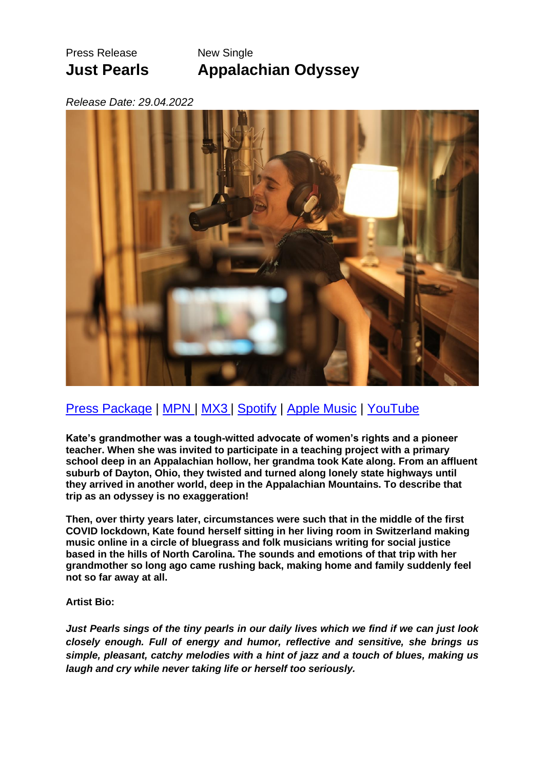# Press Release New Single

**Just Pearls Appalachian Odyssey**

## *Release Date: 29.04.2022*



## [Press Package](https://drive.google.com/drive/folders/1iwMthWjCkIS_UHcR_07sFsszbFArIq02?usp=sharing) | [MPN](https://www.music-promotion.ch/de/ProductDetail?pid=17214362) | [MX3](https://mx3.ch/t/1FsL) | [Spotify](https://open.spotify.com/track/5xloGafLxAGgFg42G5He16?si=f5844d1f5019462b) | [Apple Music](https://music.apple.com/ch/album/appalachian-odyssey-single/1620541302) | [YouTube](https://music.youtube.com/watch?v=rthfekt0yQQ&feature=share)

**Kate's grandmother was a tough-witted advocate of women's rights and a pioneer teacher. When she was invited to participate in a teaching project with a primary school deep in an Appalachian hollow, her grandma took Kate along. From an affluent suburb of Dayton, Ohio, they twisted and turned along lonely state highways until they arrived in another world, deep in the Appalachian Mountains. To describe that trip as an odyssey is no exaggeration!**

**Then, over thirty years later, circumstances were such that in the middle of the first COVID lockdown, Kate found herself sitting in her living room in Switzerland making music online in a circle of bluegrass and folk musicians writing for social justice based in the hills of North Carolina. The sounds and emotions of that trip with her grandmother so long ago came rushing back, making home and family suddenly feel not so far away at all.**

### **Artist Bio:**

*Just Pearls sings of the tiny pearls in our daily lives which we find if we can just look closely enough. Full of energy and humor, reflective and sensitive, she brings us simple, pleasant, catchy melodies with a hint of jazz and a touch of blues, making us laugh and cry while never taking life or herself too seriously.*